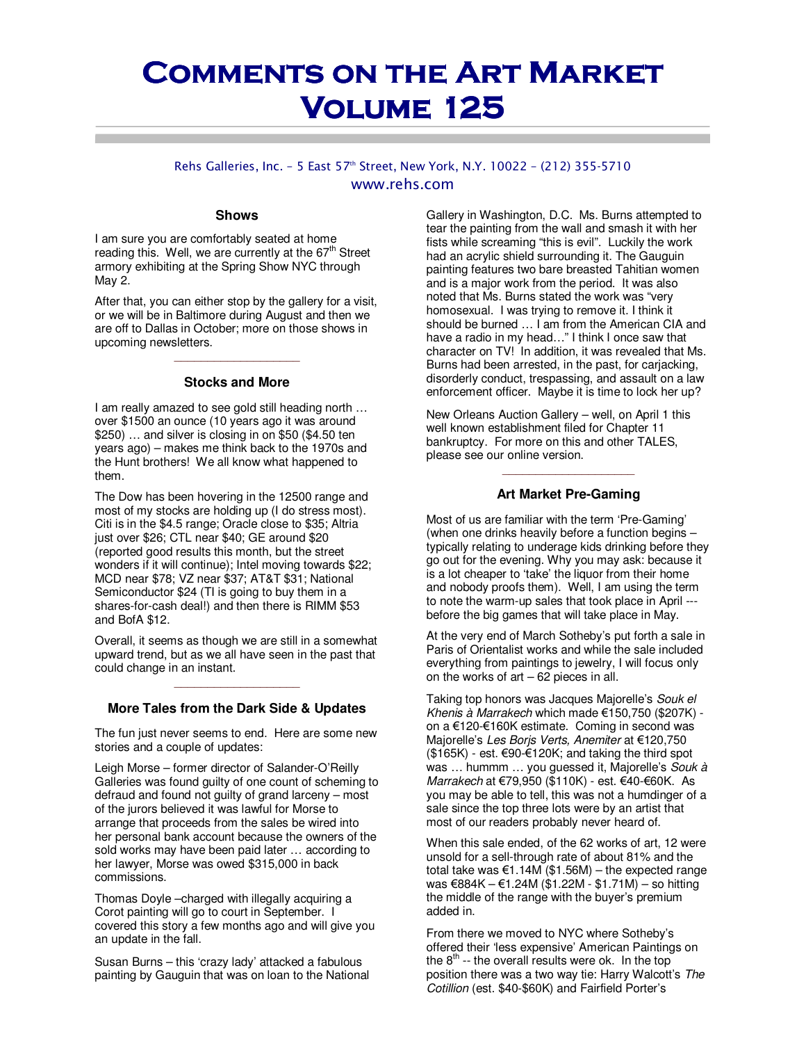# **COMMENTS ON THE ART MARKET Volume 125 Volume 125**

#### Rehs Galleries, Inc. - 5 East 57th Street, New York, N.Y. 10022 - (212) 355-5710 www.rehs.com

#### **Shows**

I am sure you are comfortably seated at home reading this. Well, we are currently at the  $67<sup>th</sup>$  Street armory exhibiting at the Spring Show NYC through May 2.

After that, you can either stop by the gallery for a visit, or we will be in Baltimore during August and then we are off to Dallas in October; more on those shows in upcoming newsletters.

## \_\_\_\_\_\_\_\_\_\_\_\_\_\_\_\_\_\_\_ **Stocks and More**

I am really amazed to see gold still heading north … over \$1500 an ounce (10 years ago it was around \$250) … and silver is closing in on \$50 (\$4.50 ten years ago) – makes me think back to the 1970s and the Hunt brothers! We all know what happened to them.

The Dow has been hovering in the 12500 range and most of my stocks are holding up (I do stress most). Citi is in the \$4.5 range; Oracle close to \$35; Altria just over \$26; CTL near \$40; GE around \$20 (reported good results this month, but the street wonders if it will continue); Intel moving towards \$22; MCD near \$78; VZ near \$37; AT&T \$31; National Semiconductor \$24 (TI is going to buy them in a shares-for-cash deal!) and then there is RIMM \$53 and BofA \$12.

Overall, it seems as though we are still in a somewhat upward trend, but as we all have seen in the past that could change in an instant.

## \_\_\_\_\_\_\_\_\_\_\_\_\_\_\_\_\_\_\_ **More Tales from the Dark Side & Updates**

The fun just never seems to end. Here are some new stories and a couple of updates:

Leigh Morse – former director of Salander-O'Reilly Galleries was found guilty of one count of scheming to defraud and found not guilty of grand larceny – most of the jurors believed it was lawful for Morse to arrange that proceeds from the sales be wired into her personal bank account because the owners of the sold works may have been paid later … according to her lawyer, Morse was owed \$315,000 in back commissions.

Thomas Doyle –charged with illegally acquiring a Corot painting will go to court in September. I covered this story a few months ago and will give you an update in the fall.

Susan Burns – this 'crazy lady' attacked a fabulous painting by Gauguin that was on loan to the National Gallery in Washington, D.C. Ms. Burns attempted to tear the painting from the wall and smash it with her fists while screaming "this is evil". Luckily the work had an acrylic shield surrounding it. The Gauguin painting features two bare breasted Tahitian women and is a major work from the period. It was also noted that Ms. Burns stated the work was "very homosexual. I was trying to remove it. I think it should be burned … I am from the American CIA and have a radio in my head…" I think I once saw that character on TV! In addition, it was revealed that Ms. Burns had been arrested, in the past, for carjacking, disorderly conduct, trespassing, and assault on a law enforcement officer. Maybe it is time to lock her up?

New Orleans Auction Gallery – well, on April 1 this well known establishment filed for Chapter 11 bankruptcy. For more on this and other TALES, please see our online version.

### \_\_\_\_\_\_\_\_\_\_\_\_\_\_\_\_\_\_\_\_ **Art Market Pre-Gaming**

Most of us are familiar with the term 'Pre-Gaming' (when one drinks heavily before a function begins – typically relating to underage kids drinking before they go out for the evening. Why you may ask: because it is a lot cheaper to 'take' the liquor from their home and nobody proofs them). Well, I am using the term to note the warm-up sales that took place in April -- before the big games that will take place in May.

At the very end of March Sotheby's put forth a sale in Paris of Orientalist works and while the sale included everything from paintings to jewelry, I will focus only on the works of  $art - 62$  pieces in all.

Taking top honors was Jacques Majorelle's Souk el Khenis à Marrakech which made €150,750 (\$207K) on a €120-€160K estimate. Coming in second was Majorelle's Les Borjs Verts, Anemiter at €120,750  $($165K)$  - est.  $€90-€120K;$  and taking the third spot was ... hummm ... you guessed it, Majorelle's Souk à Marrakech at €79,950 (\$110K) - est. €40-€60K. As you may be able to tell, this was not a humdinger of a sale since the top three lots were by an artist that most of our readers probably never heard of.

When this sale ended, of the 62 works of art, 12 were unsold for a sell-through rate of about 81% and the total take was €1.14M (\$1.56M) – the expected range was €884K – €1.24M (\$1.22M - \$1.71M) – so hitting the middle of the range with the buyer's premium added in.

From there we moved to NYC where Sotheby's offered their 'less expensive' American Paintings on the  $8<sup>th</sup>$  -- the overall results were ok. In the top position there was a two way tie: Harry Walcott's The Cotillion (est. \$40-\$60K) and Fairfield Porter's